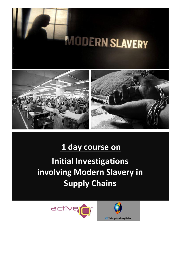





# **1 day course on Initial Investigations involving Modern Slavery in**

**Supply Chains**

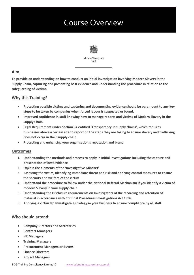# Course Overview



Modern Slavery Act 2015

### **Aim**

**To provide an understanding on how to conduct an initial investigation involving Modern Slavery in the Supply Chain, capturing and presenting best evidence and understanding the procedure in relation to the safeguarding of victims.**

# **Why this Training?**

- **Protecting possible victims and capturing and documenting evidence should be paramount to any key steps to be taken by companies when forced labour is suspected or found.**
- **Improved confidence in staff knowing how to manage reports and victims of Modern Slavery in the Supply Chain**
- **Legal Requirement under Section 54 entitled 'Transparency in supply chains', which requires businesses above a certain size to report on the steps they are taking to ensure slavery and trafficking does not occur in their supply chain**
- **Protecting and enhancing your organisation's reputation and brand**

#### **Outcomes**

- **1. Understanding the methods and process to apply in Initial Investigations including the capture and presentation of best evidence**
- **2. Explain the elements of the 'Investigative Mindset'**
- **3. Assessing the victim, identifying immediate threat and risk and applying control measures to ensure the security and welfare of the victim**
- **4. Understand the procedure to follow under the National Referral Mechanism if you identify a victim of modern Slavery in your supply chain**
- **5. Understanding the Disclosure requirements on Investigators of the recording and retention of material in accordance with Criminal Procedures Investigations Act 1996.**
- **6. Applying a victim led Investigative strategy in your business to ensure compliance by all staff.**

## **Who should attend:**

- **Company Directors and Secretaries**
- **Contract Managers**
- **HR Managers**
- **Training Managers**
- **Procurement Managers or Buyers**
- **Finance Directors**
- **Project Managers**